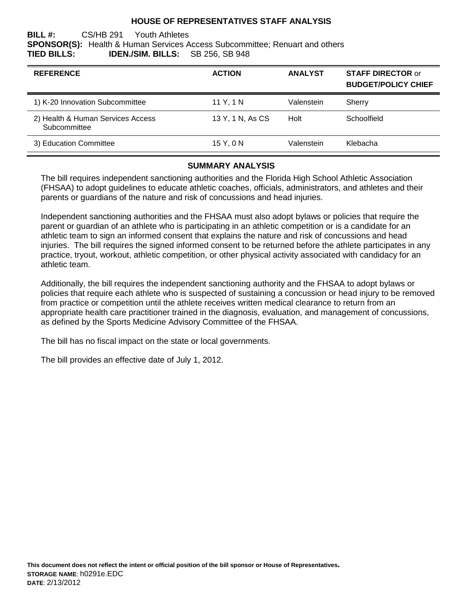### **HOUSE OF REPRESENTATIVES STAFF ANALYSIS**

**BILL #:** CS/HB 291 Youth Athletes **SPONSOR(S):** Health & Human Services Access Subcommittee; Renuart and others **TIED BILLS: IDEN./SIM. BILLS:** SB 256, SB 948

| <b>REFERENCE</b>                                  | <b>ACTION</b>    | <b>ANALYST</b> | <b>STAFF DIRECTOR or</b><br><b>BUDGET/POLICY CHIEF</b> |
|---------------------------------------------------|------------------|----------------|--------------------------------------------------------|
| 1) K-20 Innovation Subcommittee                   | 11 Y, 1 N        | Valenstein     | Sherry                                                 |
| 2) Health & Human Services Access<br>Subcommittee | 13 Y, 1 N, As CS | Holt           | Schoolfield                                            |
| 3) Education Committee                            | 15 Y, 0 N        | Valenstein     | Klebacha                                               |

#### **SUMMARY ANALYSIS**

The bill requires independent sanctioning authorities and the Florida High School Athletic Association (FHSAA) to adopt guidelines to educate athletic coaches, officials, administrators, and athletes and their parents or guardians of the nature and risk of concussions and head injuries.

Independent sanctioning authorities and the FHSAA must also adopt bylaws or policies that require the parent or guardian of an athlete who is participating in an athletic competition or is a candidate for an athletic team to sign an informed consent that explains the nature and risk of concussions and head injuries. The bill requires the signed informed consent to be returned before the athlete participates in any practice, tryout, workout, athletic competition, or other physical activity associated with candidacy for an athletic team.

Additionally, the bill requires the independent sanctioning authority and the FHSAA to adopt bylaws or policies that require each athlete who is suspected of sustaining a concussion or head injury to be removed from practice or competition until the athlete receives written medical clearance to return from an appropriate health care practitioner trained in the diagnosis, evaluation, and management of concussions, as defined by the Sports Medicine Advisory Committee of the FHSAA.

The bill has no fiscal impact on the state or local governments.

The bill provides an effective date of July 1, 2012.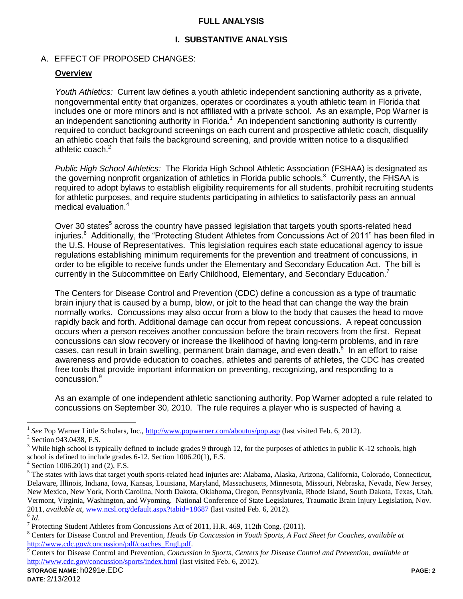### **FULL ANALYSIS**

## **I. SUBSTANTIVE ANALYSIS**

### A. EFFECT OF PROPOSED CHANGES:

### **Overview**

*Youth Athletics:* Current law defines a youth athletic independent sanctioning authority as a private, nongovernmental entity that organizes, operates or coordinates a youth athletic team in Florida that includes one or more minors and is not affiliated with a private school. As an example, Pop Warner is an independent sanctioning authority in Florida.<sup>1</sup> An independent sanctioning authority is currently required to conduct background screenings on each current and prospective athletic coach, disqualify an athletic coach that fails the background screening, and provide written notice to a disqualified athletic coach.<sup>2</sup>

*Public High School Athletics:* The Florida High School Athletic Association (FSHAA) is designated as the governing nonprofit organization of athletics in Florida public schools.<sup>3</sup> Currently, the FHSAA is required to adopt bylaws to establish eligibility requirements for all students, prohibit recruiting students for athletic purposes, and require students participating in athletics to satisfactorily pass an annual medical evaluation.<sup>4</sup>

Over 30 states<sup>5</sup> across the country have passed legislation that targets youth sports-related head injuries.<sup>6</sup> Additionally, the "Protecting Student Athletes from Concussions Act of 2011" has been filed in the U.S. House of Representatives. This legislation requires each state educational agency to issue regulations establishing minimum requirements for the prevention and treatment of concussions, in order to be eligible to receive funds under the Elementary and Secondary Education Act. The bill is currently in the Subcommittee on Early Childhood, Elementary, and Secondary Education.<sup>7</sup>

The Centers for Disease Control and Prevention (CDC) define a concussion as a type of traumatic brain injury that is caused by a bump, blow, or jolt to the head that can change the way the brain normally works. Concussions may also occur from a blow to the body that causes the head to move rapidly back and forth. Additional damage can occur from repeat concussions. A repeat concussion occurs when a person receives another concussion before the brain recovers from the first. Repeat concussions can slow recovery or increase the likelihood of having long-term problems, and in rare cases, can result in brain swelling, permanent brain damage, and even death.<sup>8</sup> In an effort to raise awareness and provide education to coaches, athletes and parents of athletes, the CDC has created free tools that provide important information on preventing, recognizing, and responding to a concussion.<sup>9</sup>

As an example of one independent athletic sanctioning authority, Pop Warner adopted a rule related to concussions on September 30, 2010. The rule requires a player who is suspected of having a

 $\overline{a}$ 

<sup>1</sup> *See* Pop Warner Little Scholars, Inc.,<http://www.popwarner.com/aboutus/pop.asp> (last visited Feb. 6, 2012).

<sup>&</sup>lt;sup>2</sup> Section 943.0438, F.S.

<sup>&</sup>lt;sup>3</sup> While high school is typically defined to include grades 9 through 12, for the purposes of athletics in public K-12 schools, high school is defined to include grades 6-12. Section 1006.20(1), F.S.

 $4$  Section 1006.20(1) and (2), F.S.

<sup>&</sup>lt;sup>5</sup> The states with laws that target youth sports-related head injuries are: Alabama, Alaska, Arizona, California, Colorado, Connecticut, Delaware, Illinois, Indiana, Iowa, Kansas, Louisiana, Maryland, Massachusetts, Minnesota, Missouri, Nebraska, Nevada, New Jersey, New Mexico, New York, North Carolina, North Dakota, Oklahoma, Oregon, Pennsylvania, Rhode Island, South Dakota, Texas, Utah, Vermont, Virginia, Washington, and Wyoming. National Conference of State Legislatures, Traumatic Brain Injury Legislation, Nov. 2011, *available at,* [www.ncsl.org/default.aspx?tabid=18687](http://www.ncsl.org/default.aspx?tabid=18687) (last visited Feb. 6, 2012). 6 *Id*.

<sup>&</sup>lt;sup>7</sup> Protecting Student Athletes from Concussions Act of 2011, H.R. 469, 112th Cong. (2011).

<sup>8</sup> Centers for Disease Control and Prevention, *Heads Up Concussion in Youth Sports, A Fact Sheet for Coaches*, *available at* [http://www.cdc.gov/concussion/pdf/coaches\\_Engl.pdf.](http://www.cdc.gov/concussion/pdf/coaches_Engl.pdf)

<sup>9</sup> Centers for Disease Control and Prevention, *Concussion in Sports, Centers for Disease Control and Prevention*, *available at*  <http://www.cdc.gov/concussion/sports/index.html> (last visited Feb. 6, 2012).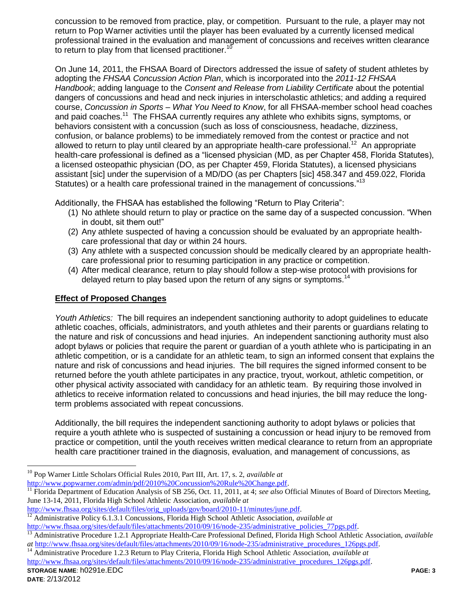concussion to be removed from practice, play, or competition. Pursuant to the rule, a player may not return to Pop Warner activities until the player has been evaluated by a currently licensed medical professional trained in the evaluation and management of concussions and receives written clearance to return to play from that licensed practitioner.<sup>10</sup>

On June 14, 2011, the FHSAA Board of Directors addressed the issue of safety of student athletes by adopting the *FHSAA Concussion Action Plan*, which is incorporated into the *2011-12 FHSAA Handbook*; adding language to the *Consent and Release from Liability Certificate* about the potential dangers of concussions and head and neck injuries in interscholastic athletics; and adding a required course, *Concussion in Sports – What You Need to Know*, for all FHSAA-member school head coaches and paid coaches.<sup>11</sup> The FHSAA currently requires any athlete who exhibits signs, symptoms, or behaviors consistent with a concussion (such as loss of consciousness, headache, dizziness, confusion, or balance problems) to be immediately removed from the contest or practice and not allowed to return to play until cleared by an appropriate health-care professional.<sup>12</sup> An appropriate health-care professional is defined as a "licensed physician (MD, as per Chapter 458, Florida Statutes), a licensed osteopathic physician (DO, as per Chapter 459, Florida Statutes), a licensed physicians assistant [sic] under the supervision of a MD/DO (as per Chapters [sic] 458.347 and 459.022, Florida Statutes) or a health care professional trained in the management of concussions."<sup>13</sup>

Additionally, the FHSAA has established the following "Return to Play Criteria":

- (1) No athlete should return to play or practice on the same day of a suspected concussion. "When in doubt, sit them out!"
- (2) Any athlete suspected of having a concussion should be evaluated by an appropriate healthcare professional that day or within 24 hours.
- (3) Any athlete with a suspected concussion should be medically cleared by an appropriate healthcare professional prior to resuming participation in any practice or competition.
- (4) After medical clearance, return to play should follow a step-wise protocol with provisions for delayed return to play based upon the return of any signs or symptoms.<sup>14</sup>

## **Effect of Proposed Changes**

*Youth Athletics:* The bill requires an independent sanctioning authority to adopt guidelines to educate athletic coaches, officials, administrators, and youth athletes and their parents or guardians relating to the nature and risk of concussions and head injuries. An independent sanctioning authority must also adopt bylaws or policies that require the parent or guardian of a youth athlete who is participating in an athletic competition, or is a candidate for an athletic team, to sign an informed consent that explains the nature and risk of concussions and head injuries. The bill requires the signed informed consent to be returned before the youth athlete participates in any practice, tryout, workout, athletic competition, or other physical activity associated with candidacy for an athletic team. By requiring those involved in athletics to receive information related to concussions and head injuries, the bill may reduce the longterm problems associated with repeat concussions.

Additionally, the bill requires the independent sanctioning authority to adopt bylaws or policies that require a youth athlete who is suspected of sustaining a concussion or head injury to be removed from practice or competition, until the youth receives written medical clearance to return from an appropriate health care practitioner trained in the diagnosis, evaluation, and management of concussions, as

 $\overline{a}$ <sup>10</sup> Pop Warner Little Scholars Official Rules 2010, Part III, Art. 17, s. 2, *available at*  [http://www.popwarner.com/admin/pdf/2010%20Concussion%20Rule%20Change.pdf.](http://www.popwarner.com/admin/pdf/2010%20Concussion%20Rule%20Change.pdf)

<sup>&</sup>lt;sup>11</sup> Florida Department of Education Analysis of SB 256, Oct. 11, 2011, at 4; *see also* Official Minutes of Board of Directors Meeting, June 13-14, 2011, Florida High School Athletic Association, *available at* 

[http://www.fhsaa.org/sites/default/files/orig\\_uploads/gov/board/2010-11/minutes/june.pdf.](http://www.fhsaa.org/sites/default/files/orig_uploads/gov/board/2010-11/minutes/june.pdf)

<sup>12</sup> Administrative Policy 6.1.3.1 Concussions, Florida High School Athletic Association, *available at* 

[http://www.fhsaa.org/sites/default/files/attachments/2010/09/16/node-235/administrative\\_policies\\_77pgs.pdf.](http://www.fhsaa.org/sites/default/files/attachments/2010/09/16/node-235/administrative_policies_77pgs.pdf)

<sup>13</sup> Administrative Procedure 1.2.1 Appropriate Health-Care Professional Defined, Florida High School Athletic Association, *available at* [http://www.fhsaa.org/sites/default/files/attachments/2010/09/16/node-235/administrative\\_procedures\\_126pgs.pdf.](http://www.fhsaa.org/sites/default/files/attachments/2010/09/16/node-235/administrative_procedures_126pgs.pdf)

<sup>14</sup> Administrative Procedure 1.2.3 Return to Play Criteria, Florida High School Athletic Association, *available at*  [http://www.fhsaa.org/sites/default/files/attachments/2010/09/16/node-235/administrative\\_procedures\\_126pgs.pdf.](http://www.fhsaa.org/sites/default/files/attachments/2010/09/16/node-235/administrative_procedures_126pgs.pdf)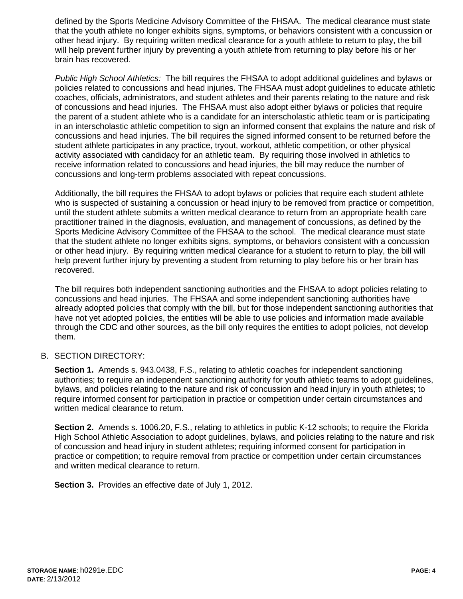defined by the Sports Medicine Advisory Committee of the FHSAA. The medical clearance must state that the youth athlete no longer exhibits signs, symptoms, or behaviors consistent with a concussion or other head injury. By requiring written medical clearance for a youth athlete to return to play, the bill will help prevent further injury by preventing a youth athlete from returning to play before his or her brain has recovered.

*Public High School Athletics:* The bill requires the FHSAA to adopt additional guidelines and bylaws or policies related to concussions and head injuries. The FHSAA must adopt guidelines to educate athletic coaches, officials, administrators, and student athletes and their parents relating to the nature and risk of concussions and head injuries. The FHSAA must also adopt either bylaws or policies that require the parent of a student athlete who is a candidate for an interscholastic athletic team or is participating in an interscholastic athletic competition to sign an informed consent that explains the nature and risk of concussions and head injuries. The bill requires the signed informed consent to be returned before the student athlete participates in any practice, tryout, workout, athletic competition, or other physical activity associated with candidacy for an athletic team. By requiring those involved in athletics to receive information related to concussions and head injuries, the bill may reduce the number of concussions and long-term problems associated with repeat concussions.

Additionally, the bill requires the FHSAA to adopt bylaws or policies that require each student athlete who is suspected of sustaining a concussion or head injury to be removed from practice or competition, until the student athlete submits a written medical clearance to return from an appropriate health care practitioner trained in the diagnosis, evaluation, and management of concussions, as defined by the Sports Medicine Advisory Committee of the FHSAA to the school. The medical clearance must state that the student athlete no longer exhibits signs, symptoms, or behaviors consistent with a concussion or other head injury. By requiring written medical clearance for a student to return to play, the bill will help prevent further injury by preventing a student from returning to play before his or her brain has recovered.

The bill requires both independent sanctioning authorities and the FHSAA to adopt policies relating to concussions and head injuries. The FHSAA and some independent sanctioning authorities have already adopted policies that comply with the bill, but for those independent sanctioning authorities that have not yet adopted policies, the entities will be able to use policies and information made available through the CDC and other sources, as the bill only requires the entities to adopt policies, not develop them.

### B. SECTION DIRECTORY:

**Section 1.** Amends s. 943.0438, F.S., relating to athletic coaches for independent sanctioning authorities; to require an independent sanctioning authority for youth athletic teams to adopt guidelines, bylaws, and policies relating to the nature and risk of concussion and head injury in youth athletes; to require informed consent for participation in practice or competition under certain circumstances and written medical clearance to return.

**Section 2.** Amends s. 1006.20, F.S., relating to athletics in public K-12 schools; to require the Florida High School Athletic Association to adopt guidelines, bylaws, and policies relating to the nature and risk of concussion and head injury in student athletes; requiring informed consent for participation in practice or competition; to require removal from practice or competition under certain circumstances and written medical clearance to return.

**Section 3.** Provides an effective date of July 1, 2012.